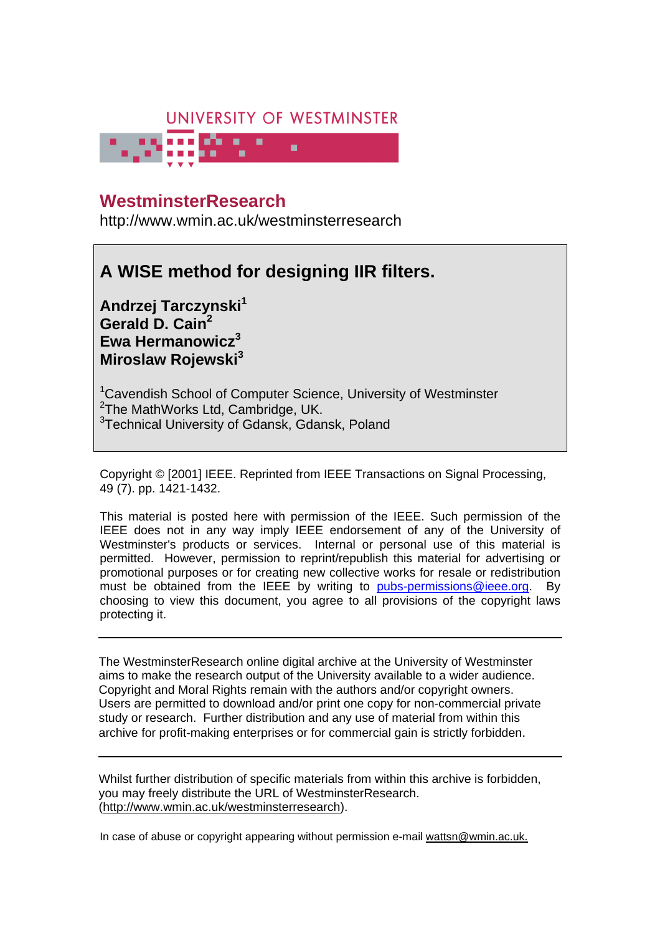# UNIVERSITY OF WESTMINSTER



# **University of Westminster Eprints WestminsterResearch**

http://www.wmin.ac.uk/westminsterresearch

# **A WISE method for designing IIR filters.**

**Andrzej Tarczynski<sup>1</sup> Gerald D. Cain<sup>2</sup> Ewa Hermanowicz<sup>3</sup> Miroslaw Rojewski<sup>3</sup>**

<sup>1</sup>Cavendish School of Computer Science, University of Westminster <sup>2</sup>The MathWorks Ltd, Cambridge, UK. <sup>3</sup>Technical University of Gdansk, Gdansk, Poland

Copyright © [2001] IEEE. Reprinted from IEEE Transactions on Signal Processing, 49 (7). pp. 1421-1432.

This material is posted here with permission of the IEEE. Such permission of the IEEE does not in any way imply IEEE endorsement of any of the University of Westminster's products or services. Internal or personal use of this material is permitted. However, permission to reprint/republish this material for advertising or promotional purposes or for creating new collective works for resale or redistribution must be obtained from the IEEE by writing to pubs-permissions@ieee.org. By choosing to view this document, you agree to all provisions of the copyright laws protecting it.

The WestminsterResearch online digital archive at the University of Westminster aims to make the research output of the University available to a wider audience. Copyright and Moral Rights remain with the authors and/or copyright owners. Users are permitted to download and/or print one copy for non-commercial private Users are permitted to download and/or print one copy for non-commercial private study or research. Further distribution and any use of material from within this study or research. Further distribution and any use of material from within this archive for profit-making enterprises or for commercial gain is strictly forbidden. archive for profit-making enterprises or for commercial gain is strictly forbidden.

Whilst further distribution of specific materials from within this archive is forbidden, Whilst further distribution of specific materials from within this archive is forbidden, you may freely distribute the URL of WestminsterResearch. (http://www.wmin.ac.uk/westminsterresearch).

In case of abuse or copyright appearing without permission e-mail wattsn@wmin.ac.uk.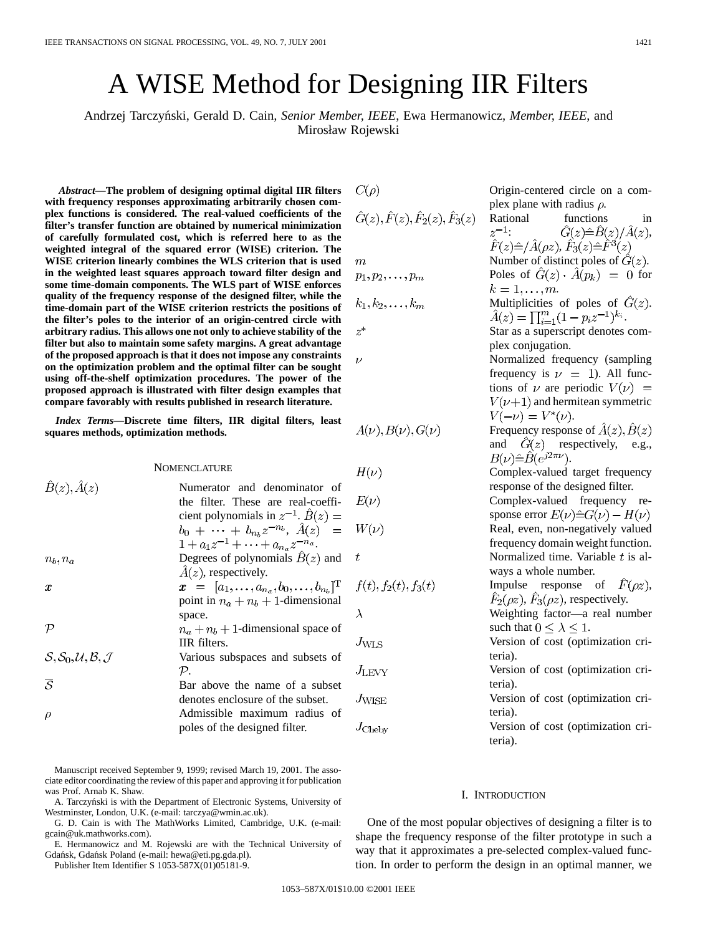# A WISE Method for Designing IIR Filters

Andrzej Tarczyn´ski, Gerald D. Cain*, Senior Member, IEEE*, Ewa Hermanowicz*, Member, IEEE*, and Mirosław Rojewski

*Abstract—***The problem of designing optimal digital IIR filters with frequency responses approximating arbitrarily chosen complex functions is considered. The real-valued coefficients of the filter's transfer function are obtained by numerical minimization of carefully formulated cost, which is referred here to as the weighted integral of the squared error (WISE) criterion. The WISE criterion linearly combines the WLS criterion that is used in the weighted least squares approach toward filter design and some time-domain components. The WLS part of WISE enforces quality of the frequency response of the designed filter, while the time-domain part of the WISE criterion restricts the positions of the filter's poles to the interior of an origin-centred circle with arbitrary radius. This allows one not only to achieve stability of the filter but also to maintain some safety margins. A great advantage of the proposed approach is that it does not impose any constraints on the optimization problem and the optimal filter can be sought using off-the-shelf optimization procedures. The power of the proposed approach is illustrated with filter design examples that compare favorably with results published in research literature.**

*Index Terms—***Discrete time filters, IIR digital filters, least squares methods, optimization methods.**

NOMENCLATURE

|                             |                                                                                                                      | $H(\nu)$        |
|-----------------------------|----------------------------------------------------------------------------------------------------------------------|-----------------|
| $\hat{B}(z), \hat{A}(z)$    | Numerator and denominator of<br>the filter. These are real-coeffi-<br>cient polynomials in $z^{-1}$ . $\hat{B}(z) =$ | $E(\nu)$        |
|                             | $b_0 + \cdots + b_{n_b} z^{-n_b}, \ \hat{A}(z) =$<br>$1 + a_1 z^{-1} + \cdots + a_{n_a} z^{-n_a}.$                   | $W(\nu)$        |
| $n_b, n_a$                  | Degrees of polynomials $B(z)$ and<br>$A(z)$ , respectively.                                                          | t               |
| $\boldsymbol{x}$            | $x = [a_1, \ldots, a_{n_a}, b_0, \ldots, b_{n_b}]^{\mathrm{T}}$<br>point in $n_a + n_b + 1$ -dimensional             | f(t), f         |
|                             | space.                                                                                                               | $\lambda$       |
| P                           | $n_a + n_b + 1$ -dimensional space of<br>IIR filters.                                                                | $J_{\rm WLS}$   |
| $S, S_0, U, B, \mathcal{J}$ | Various subspaces and subsets of<br>$\mathcal{P}_{\cdot}$                                                            | $J_{\rm{LEVV}}$ |
| $\overline{S}$              | Bar above the name of a subset                                                                                       |                 |
| ρ                           | denotes enclosure of the subset.<br>Admissible maximum radius of                                                     | $J_{\rm WISE}$  |
|                             | poles of the designed filter.                                                                                        | $J_{\rm Cheby}$ |
|                             |                                                                                                                      |                 |

Manuscript received September 9, 1999; revised March 19, 2001. The associate editor coordinating the review of this paper and approving it for publication was Prof. Arnab K. Shaw.

G. D. Cain is with The MathWorks Limited, Cambridge, U.K. (e-mail: gcain@uk.mathworks.com).

E. Hermanowicz and M. Rojewski are with the Technical University of Gdańsk, Gdańsk Poland (e-mail: hewa@eti.pg.gda.pl).

Publisher Item Identifier S 1053-587X(01)05181-9.

 $C(\rho)$ 

 $\hat{G}(z), \hat{F}(z), \hat{F}_2(z), \hat{F}_3(z)$  $\boldsymbol{m}$  $p_1, p_2, \ldots, p_m$  $k_1, k_2, \ldots, k_m$  $z^*$  $\nu$  $A(\nu), B(\nu), G(\nu)$  $(\nu)$  $\nu)$  $(\nu)$ 

Complex-valued target frequency response of the designed filter. Complex-valued frequency response error  $E(\nu) \hat{=} G(\nu) - H(\nu)$ Real, even, non-negatively valued frequency domain weight function. Normalized time. Variable  $t$  is always a whole number.  $(t), f_2(t), f_3(t)$ Impulse response of  $\hat{F}(\rho z)$ ,  $\hat{F}_2(\rho z)$ ,  $\hat{F}_3(\rho z)$ , respectively. Weighting factor—a real number such that  $0 \leq \lambda \leq 1$ . Version of cost (optimization criteria). Version of cost (optimization criteria). Version of cost (optimization criteria). Version of cost (optimization criteria).

#### I. INTRODUCTION

One of the most popular objectives of designing a filter is to shape the frequency response of the filter prototype in such a way that it approximates a pre-selected complex-valued function. In order to perform the design in an optimal manner, we

Origin-centered circle on a com-

Rational functions in  $z^{-1}$ :  $\hat{G}(z) \hat{=} \hat{B}(z) / \hat{A}(z)$ ,  $\hat{F}(z)\hat{=}/\hat{A}(\rho z),\hat{F}_3(z)\hat{=} \hat{F}^3(z)$ Number of distinct poles of  $\hat{G}(z)$ . Poles of  $\hat{G}(z) \cdot \hat{A}(p_k) = 0$  for

Multiplicities of poles of  $\hat{G}(z)$ .  $\hat{A}(z) = \prod_{i=1}^{m} (1 - p_i z^{-1})^{k_i}.$ Star as a superscript denotes com-

Normalized frequency (sampling frequency is  $\nu = 1$ ). All functions of  $\nu$  are periodic  $V(\nu)$  =  $V(\nu+1)$  and hermitean symmetric

Frequency response of  $\hat{A}(z), \hat{B}(z)$ and  $\hat{G}(z)$  respectively, e.g.,

plex plane with radius  $\rho$ .

 $k=1,\ldots,m$ .

plex conjugation.

 $V(-\nu) = V^*(\nu).$ 

 $B(\nu)\hat{=} \hat{B}(e^{j2\pi\nu}).$ 

A. Tarczyński is with the Department of Electronic Systems, University of Westminster, London, U.K. (e-mail: tarczya@wmin.ac.uk).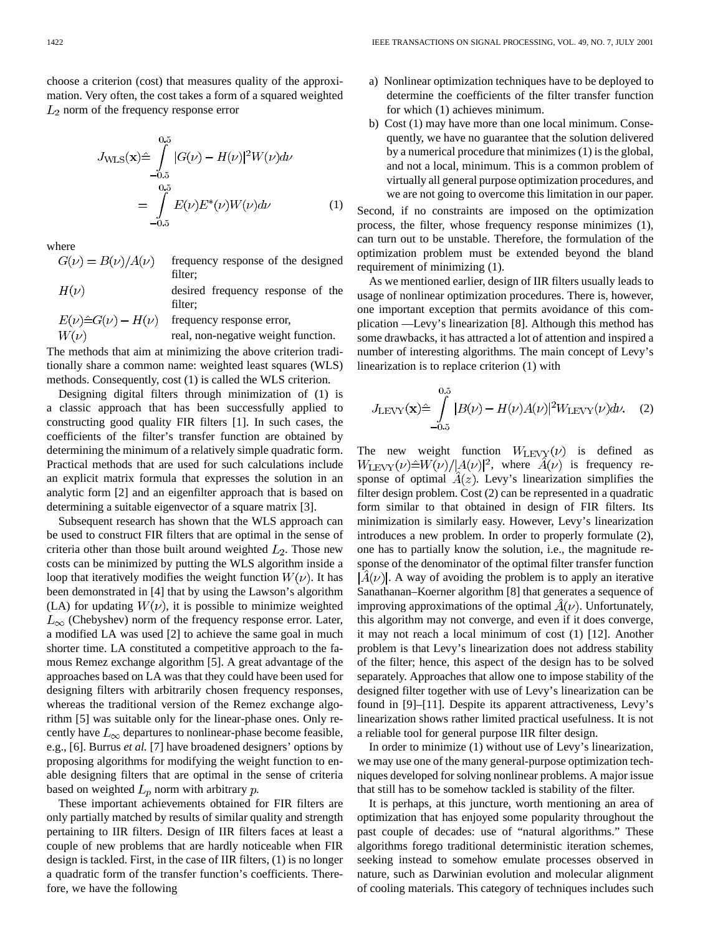choose a criterion (cost) that measures quality of the approximation. Very often, the cost takes a form of a squared weighted  $L_2$  norm of the frequency response error

$$
J_{\text{WLS}}(\mathbf{x}) \hat{=} \int_{-0.5}^{0.5} |G(\nu) - H(\nu)|^2 W(\nu) d\nu
$$
  
= 
$$
\int_{-0.5}^{0.5} E(\nu) E^*(\nu) W(\nu) d\nu
$$
 (1)

where

- $G(\nu) = B(\nu)/A(\nu)$ frequency response of the designed filter;
- $H(\nu)$ desired frequency response of the filter;

$$
E(\nu)\hat{=}G(\nu) - H(\nu)
$$
 frequency response error,  
well, non-negative weight function.

The methods that aim at minimizing the above criterion traditionally share a common name: weighted least squares (WLS) methods. Consequently, cost (1) is called the WLS criterion.

Designing digital filters through minimization of (1) is a classic approach that has been successfully applied to constructing good quality FIR filters [1]. In such cases, the coefficients of the filter's transfer function are obtained by determining the minimum of a relatively simple quadratic form. Practical methods that are used for such calculations include an explicit matrix formula that expresses the solution in an analytic form [2] and an eigenfilter approach that is based on determining a suitable eigenvector of a square matrix [3].

Subsequent research has shown that the WLS approach can be used to construct FIR filters that are optimal in the sense of criteria other than those built around weighted  $L_2$ . Those new costs can be minimized by putting the WLS algorithm inside a loop that iteratively modifies the weight function  $W(\nu)$ . It has been demonstrated in [4] that by using the Lawson's algorithm (LA) for updating  $W(\nu)$ , it is possible to minimize weighted  $L_{\infty}$  (Chebyshev) norm of the frequency response error. Later, a modified LA was used [2] to achieve the same goal in much shorter time. LA constituted a competitive approach to the famous Remez exchange algorithm [5]. A great advantage of the approaches based on LA was that they could have been used for designing filters with arbitrarily chosen frequency responses, whereas the traditional version of the Remez exchange algorithm [5] was suitable only for the linear-phase ones. Only recently have  $L_{\infty}$  departures to nonlinear-phase become feasible, e.g., [6]. Burrus *et al.* [7] have broadened designers' options by proposing algorithms for modifying the weight function to enable designing filters that are optimal in the sense of criteria based on weighted  $L_p$  norm with arbitrary  $p$ .

These important achievements obtained for FIR filters are only partially matched by results of similar quality and strength pertaining to IIR filters. Design of IIR filters faces at least a couple of new problems that are hardly noticeable when FIR design is tackled. First, in the case of IIR filters, (1) is no longer a quadratic form of the transfer function's coefficients. Therefore, we have the following

- a) Nonlinear optimization techniques have to be deployed to determine the coefficients of the filter transfer function for which (1) achieves minimum.
- b) Cost (1) may have more than one local minimum. Consequently, we have no guarantee that the solution delivered by a numerical procedure that minimizes (1) is the global, and not a local, minimum. This is a common problem of virtually all general purpose optimization procedures, and we are not going to overcome this limitation in our paper.

Second, if no constraints are imposed on the optimization process, the filter, whose frequency response minimizes (1), can turn out to be unstable. Therefore, the formulation of the optimization problem must be extended beyond the bland requirement of minimizing (1).

As we mentioned earlier, design of IIR filters usually leads to usage of nonlinear optimization procedures. There is, however, one important exception that permits avoidance of this complication —Levy's linearization [8]. Although this method has some drawbacks, it has attracted a lot of attention and inspired a number of interesting algorithms. The main concept of Levy's linearization is to replace criterion (1) with

$$
J_{\text{LEVY}}(\mathbf{x}) \hat{=} \int_{-0.5}^{0.5} |B(\nu) - H(\nu)A(\nu)|^2 W_{\text{LEVY}}(\nu) d\nu. \tag{2}
$$

The new weight function  $W_{\text{LEVY}}(\nu)$  is defined as  $W_{\text{LEVY}}(\nu) \triangleq W(\nu)/|A(\nu)|^2$ , where  $\hat{A}(\nu)$  is frequency response of optimal  $A(z)$ . Levy's linearization simplifies the filter design problem. Cost (2) can be represented in a quadratic form similar to that obtained in design of FIR filters. Its minimization is similarly easy. However, Levy's linearization introduces a new problem. In order to properly formulate (2), one has to partially know the solution, i.e., the magnitude response of the denominator of the optimal filter transfer function  $|A(\nu)|$ . A way of avoiding the problem is to apply an iterative Sanathanan–Koerner algorithm [8] that generates a sequence of improving approximations of the optimal  $\hat{A}(\nu)$ . Unfortunately, this algorithm may not converge, and even if it does converge, it may not reach a local minimum of cost (1) [12]. Another problem is that Levy's linearization does not address stability of the filter; hence, this aspect of the design has to be solved separately. Approaches that allow one to impose stability of the designed filter together with use of Levy's linearization can be found in [9]–[11]. Despite its apparent attractiveness, Levy's linearization shows rather limited practical usefulness. It is not a reliable tool for general purpose IIR filter design.

In order to minimize (1) without use of Levy's linearization, we may use one of the many general-purpose optimization techniques developed for solving nonlinear problems. A major issue that still has to be somehow tackled is stability of the filter.

It is perhaps, at this juncture, worth mentioning an area of optimization that has enjoyed some popularity throughout the past couple of decades: use of "natural algorithms." These algorithms forego traditional deterministic iteration schemes, seeking instead to somehow emulate processes observed in nature, such as Darwinian evolution and molecular alignment of cooling materials. This category of techniques includes such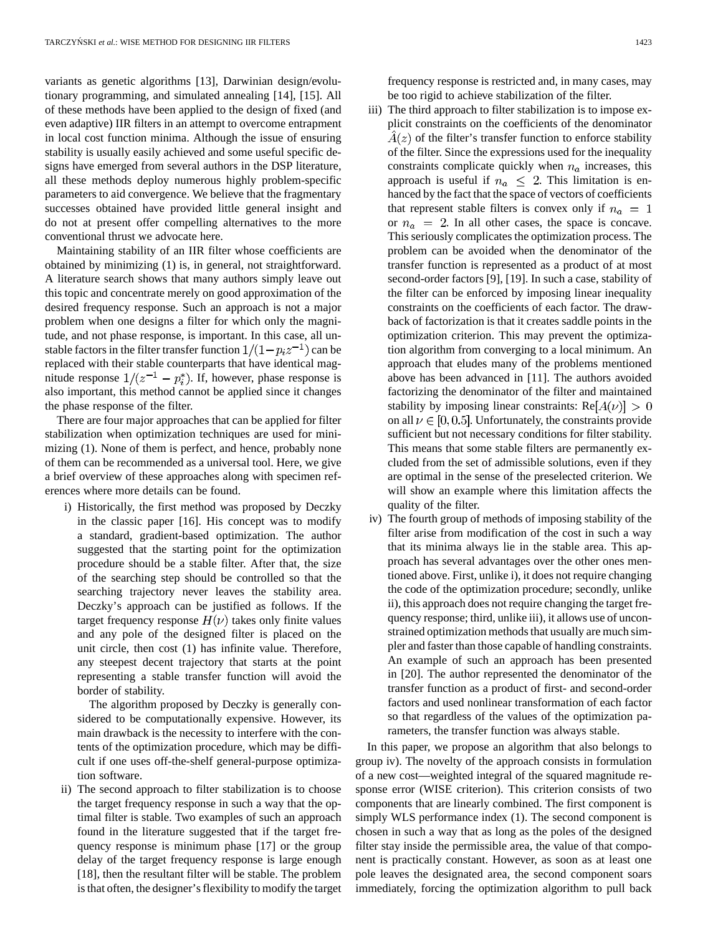variants as genetic algorithms [13], Darwinian design/evolutionary programming, and simulated annealing [14], [15]. All of these methods have been applied to the design of fixed (and even adaptive) IIR filters in an attempt to overcome entrapment in local cost function minima. Although the issue of ensuring stability is usually easily achieved and some useful specific designs have emerged from several authors in the DSP literature, all these methods deploy numerous highly problem-specific parameters to aid convergence. We believe that the fragmentary successes obtained have provided little general insight and do not at present offer compelling alternatives to the more conventional thrust we advocate here.

Maintaining stability of an IIR filter whose coefficients are obtained by minimizing (1) is, in general, not straightforward. A literature search shows that many authors simply leave out this topic and concentrate merely on good approximation of the desired frequency response. Such an approach is not a major problem when one designs a filter for which only the magnitude, and not phase response, is important. In this case, all unstable factors in the filter transfer function  $1/(1-p_iz^{-1})$  can be replaced with their stable counterparts that have identical magnitude response  $1/(z^{-1} - p_i^*)$ . If, however, phase response is also important, this method cannot be applied since it changes the phase response of the filter.

There are four major approaches that can be applied for filter stabilization when optimization techniques are used for minimizing (1). None of them is perfect, and hence, probably none of them can be recommended as a universal tool. Here, we give a brief overview of these approaches along with specimen references where more details can be found.

i) Historically, the first method was proposed by Deczky in the classic paper [16]. His concept was to modify a standard, gradient-based optimization. The author suggested that the starting point for the optimization procedure should be a stable filter. After that, the size of the searching step should be controlled so that the searching trajectory never leaves the stability area. Deczky's approach can be justified as follows. If the target frequency response  $H(\nu)$  takes only finite values and any pole of the designed filter is placed on the unit circle, then cost (1) has infinite value. Therefore, any steepest decent trajectory that starts at the point representing a stable transfer function will avoid the border of stability.

The algorithm proposed by Deczky is generally considered to be computationally expensive. However, its main drawback is the necessity to interfere with the contents of the optimization procedure, which may be difficult if one uses off-the-shelf general-purpose optimization software.

ii) The second approach to filter stabilization is to choose the target frequency response in such a way that the optimal filter is stable. Two examples of such an approach found in the literature suggested that if the target frequency response is minimum phase [17] or the group delay of the target frequency response is large enough [18], then the resultant filter will be stable. The problem is that often, the designer's flexibility to modify the target frequency response is restricted and, in many cases, may be too rigid to achieve stabilization of the filter.

- iii) The third approach to filter stabilization is to impose explicit constraints on the coefficients of the denominator  $A(z)$  of the filter's transfer function to enforce stability of the filter. Since the expressions used for the inequality constraints complicate quickly when  $n_a$  increases, this approach is useful if  $n_a \leq 2$ . This limitation is enhanced by the fact that the space of vectors of coefficients that represent stable filters is convex only if  $n_a = 1$ or  $n_a = 2$ . In all other cases, the space is concave. This seriously complicates the optimization process. The problem can be avoided when the denominator of the transfer function is represented as a product of at most second-order factors [9], [19]. In such a case, stability of the filter can be enforced by imposing linear inequality constraints on the coefficients of each factor. The drawback of factorization is that it creates saddle points in the optimization criterion. This may prevent the optimization algorithm from converging to a local minimum. An approach that eludes many of the problems mentioned above has been advanced in [11]. The authors avoided factorizing the denominator of the filter and maintained stability by imposing linear constraints:  $Re[A(\nu)] > 0$ on all  $\nu \in [0, 0.5]$ . Unfortunately, the constraints provide sufficient but not necessary conditions for filter stability. This means that some stable filters are permanently excluded from the set of admissible solutions, even if they are optimal in the sense of the preselected criterion. We will show an example where this limitation affects the quality of the filter.
- iv) The fourth group of methods of imposing stability of the filter arise from modification of the cost in such a way that its minima always lie in the stable area. This approach has several advantages over the other ones mentioned above. First, unlike i), it does not require changing the code of the optimization procedure; secondly, unlike ii), this approach does not require changing the target frequency response; third, unlike iii), it allows use of unconstrained optimization methods that usually are much simpler and faster than those capable of handling constraints. An example of such an approach has been presented in [20]. The author represented the denominator of the transfer function as a product of first- and second-order factors and used nonlinear transformation of each factor so that regardless of the values of the optimization parameters, the transfer function was always stable.

In this paper, we propose an algorithm that also belongs to group iv). The novelty of the approach consists in formulation of a new cost—weighted integral of the squared magnitude response error (WISE criterion). This criterion consists of two components that are linearly combined. The first component is simply WLS performance index (1). The second component is chosen in such a way that as long as the poles of the designed filter stay inside the permissible area, the value of that component is practically constant. However, as soon as at least one pole leaves the designated area, the second component soars immediately, forcing the optimization algorithm to pull back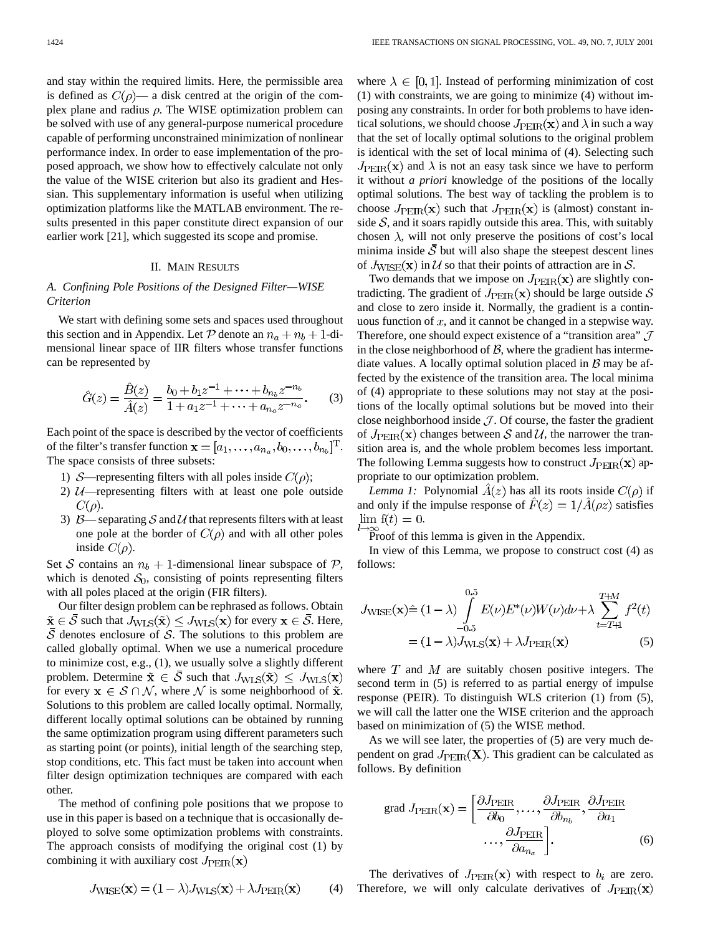and stay within the required limits. Here, the permissible area is defined as  $C(\rho)$ — a disk centred at the origin of the complex plane and radius  $\rho$ . The WISE optimization problem can be solved with use of any general-purpose numerical procedure capable of performing unconstrained minimization of nonlinear performance index. In order to ease implementation of the proposed approach, we show how to effectively calculate not only the value of the WISE criterion but also its gradient and Hessian. This supplementary information is useful when utilizing optimization platforms like the MATLAB environment. The results presented in this paper constitute direct expansion of our earlier work [21], which suggested its scope and promise.

### II. MAIN RESULTS

# *A. Confining Pole Positions of the Designed Filter—WISE Criterion*

We start with defining some sets and spaces used throughout this section and in Appendix. Let  $P$  denote an  $n_a + n_b + 1$ -dimensional linear space of IIR filters whose transfer functions can be represented by

$$
\hat{G}(z) = \frac{\hat{B}(z)}{\hat{A}(z)} = \frac{b_0 + b_1 z^{-1} + \dots + b_{n_b} z^{-n_b}}{1 + a_1 z^{-1} + \dots + a_{n_a} z^{-n_a}}.
$$
 (3)

Each point of the space is described by the vector of coefficients of the filter's transfer function  $\mathbf{x} = [a_1, \dots, a_{n_a}, b_0, \dots, b_{n_b}]^{\mathrm{T}}$ . The space consists of three subsets:

- 1) S—representing filters with all poles inside  $C(\rho)$ ;
- 2)  $U$ —representing filters with at least one pole outside  $C(\rho)$ .
- 3)  $\beta$  separating S and U that represents filters with at least one pole at the border of  $C(\rho)$  and with all other poles inside  $C(\rho)$ .

Set S contains an  $n_b + 1$ -dimensional linear subspace of P, which is denoted  $S_0$ , consisting of points representing filters with all poles placed at the origin (FIR filters).

Our filter design problem can be rephrased as follows. Obtain  $\tilde{\mathbf{x}} \in \overline{\mathcal{S}}$  such that  $J_{\text{WLS}}(\tilde{\mathbf{x}}) \leq J_{\text{WLS}}(\mathbf{x})$  for every  $\mathbf{x} \in \overline{\mathcal{S}}$ . Here,  $\overline{S}$  denotes enclosure of S. The solutions to this problem are called globally optimal. When we use a numerical procedure to minimize cost, e.g., (1), we usually solve a slightly different problem. Determine  $\tilde{\mathbf{x}} \in \overline{S}$  such that  $J_{\text{WLS}}(\tilde{\mathbf{x}}) \leq J_{\text{WLS}}(\mathbf{x})$ for every  $x \in S \cap N$ , where N is some neighborhood of  $\tilde{x}$ . Solutions to this problem are called locally optimal. Normally, different locally optimal solutions can be obtained by running the same optimization program using different parameters such as starting point (or points), initial length of the searching step, stop conditions, etc. This fact must be taken into account when filter design optimization techniques are compared with each other.

The method of confining pole positions that we propose to use in this paper is based on a technique that is occasionally deployed to solve some optimization problems with constraints. The approach consists of modifying the original cost (1) by combining it with auxiliary cost  $J_{\rm PEIR}(\mathbf{x})$ 

$$
J_{\text{WISE}}(\mathbf{x}) = (1 - \lambda) J_{\text{WLS}}(\mathbf{x}) + \lambda J_{\text{PEIR}}(\mathbf{x}) \tag{4}
$$

where  $\lambda \in [0, 1]$ . Instead of performing minimization of cost (1) with constraints, we are going to minimize (4) without imposing any constraints. In order for both problems to have identical solutions, we should choose  $J_{\text{PEIR}}(\mathbf{x})$  and  $\lambda$  in such a way that the set of locally optimal solutions to the original problem is identical with the set of local minima of (4). Selecting such  $J_{\rm PER}(\mathbf{x})$  and  $\lambda$  is not an easy task since we have to perform it without *a priori* knowledge of the positions of the locally optimal solutions. The best way of tackling the problem is to choose  $J_{\rm PEIR}(\mathbf{x})$  such that  $J_{\rm PEIR}(\mathbf{x})$  is (almost) constant inside  $S$ , and it soars rapidly outside this area. This, with suitably chosen  $\lambda$ , will not only preserve the positions of cost's local minima inside  $S$  but will also shape the steepest descent lines of  $J_{\text{WISE}}(\mathbf{x})$  in U so that their points of attraction are in S.

Two demands that we impose on  $J_{\rm PEIR}(\mathbf{x})$  are slightly contradicting. The gradient of  $J_{\text{PEIR}}(\mathbf{x})$  should be large outside S and close to zero inside it. Normally, the gradient is a continuous function of  $x$ , and it cannot be changed in a stepwise way. Therefore, one should expect existence of a "transition area"  $\mathcal J$ in the close neighborhood of  $B$ , where the gradient has intermediate values. A locally optimal solution placed in  $\beta$  may be affected by the existence of the transition area. The local minima of (4) appropriate to these solutions may not stay at the positions of the locally optimal solutions but be moved into their close neighborhood inside  $J$ . Of course, the faster the gradient of  $J_{\rm PER}(\mathbf{x})$  changes between  $\mathcal S$  and  $\mathcal U$ , the narrower the transition area is, and the whole problem becomes less important. The following Lemma suggests how to construct  $J_{\rm PEIR}(\mathbf{x})$  appropriate to our optimization problem.

*Lemma 1:* Polynomial  $A(z)$  has all its roots inside  $C(\rho)$  if and only if the impulse response of  $\hat{F}(z) = 1/\hat{A}(\rho z)$  satisfies  $\lim f(t) = 0.$ 

Proof of this lemma is given in the Appendix.

In view of this Lemma, we propose to construct cost (4) as follows:

$$
J_{\text{WISE}}(\mathbf{x}) \hat{=} (1 - \lambda) \int_{-0.5}^{0.5} E(\nu) E^*(\nu) W(\nu) d\nu + \lambda \sum_{t = T+1}^{T+M} f^2(t)
$$

$$
= (1 - \lambda) J_{\text{WLS}}(\mathbf{x}) + \lambda J_{\text{PEIR}}(\mathbf{x})
$$
(5)

where  $T$  and  $M$  are suitably chosen positive integers. The second term in (5) is referred to as partial energy of impulse response (PEIR). To distinguish WLS criterion (1) from (5), we will call the latter one the WISE criterion and the approach based on minimization of (5) the WISE method.

As we will see later, the properties of (5) are very much dependent on grad  $J_{\rm PEIR}(\mathbf{X})$ . This gradient can be calculated as follows. By definition

grad 
$$
J_{\text{PEIR}}(\mathbf{x}) = \left[\frac{\partial J_{\text{PEIR}}}{\partial b_0}, \dots, \frac{\partial J_{\text{PEIR}}}{\partial b_{n_b}}, \frac{\partial J_{\text{PEIR}}}{\partial a_1}\right]
$$
  
...,  $\frac{\partial J_{\text{PEIR}}}{\partial a_{n_a}}$  (6)

The derivatives of  $J_{\text{PEIR}}(\mathbf{x})$  with respect to  $b_i$  are zero. Therefore, we will only calculate derivatives of  $J_{\rm PEIR}(\mathbf{x})$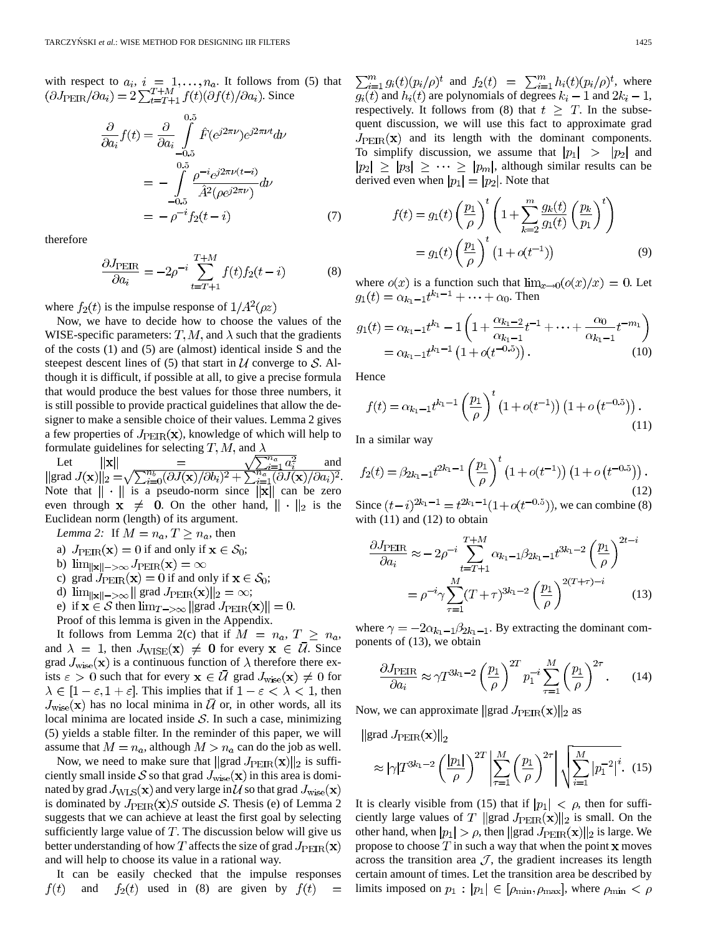with respect to  $a_i$ ,  $i = 1, \ldots, n_a$ . It follows from (5) that . Since

$$
\frac{\partial}{\partial a_i} f(t) = \frac{\partial}{\partial a_i} \int_{-0.5}^{0.5} \hat{F}(e^{j2\pi\nu}) e^{j2\pi\nu t} d\nu
$$

$$
= - \int_{-0.5}^{0.5} \frac{\rho^{-i} e^{j2\pi\nu (t-i)}}{\hat{A}^2(\rho e^{j2\pi\nu})} d\nu
$$

$$
= - \rho^{-i} f_2(t-i) \tag{7}
$$

therefore

$$
\frac{\partial J_{\text{PEIR}}}{\partial a_i} = -2\rho^{-i} \sum_{t=T+1}^{T+M} f(t) f_2(t-i) \tag{8}
$$

where  $f_2(t)$  is the impulse response of  $1/A^2(\rho z)$ 

Now, we have to decide how to choose the values of the WISE-specific parameters:  $T, M$ , and  $\lambda$  such that the gradients of the costs (1) and (5) are (almost) identical inside S and the steepest descent lines of (5) that start in  $U$  converge to  $S$ . Although it is difficult, if possible at all, to give a precise formula that would produce the best values for those three numbers, it is still possible to provide practical guidelines that allow the designer to make a sensible choice of their values. Lemma 2 gives a few properties of  $J_{\rm PEIR}(\mathbf{x})$ , knowledge of which will help to formulate guidelines for selecting T, M, and  $\lambda$ 

Let  $||\mathbf{x}|| = \sqrt{\sum_{i=1}^{n_a} a_i^2}$  and grad  $J(\mathbf{x})||_2 = \sqrt{\sum_{i=0}^{n_b} (\partial J(\mathbf{x})/\partial b_i)^2 + \sum_{i=1}^{n_a} (\partial J(\mathbf{x})/\partial a_i)^2}$ . Note that  $\|\cdot\|$  is a pseudo-norm since  $\|\mathbf{x}\|$  can be zero even through  $x \neq 0$ . On the other hand,  $|| \cdot ||_2$  is the Euclidean norm (length) of its argument.

*Lemma 2:* If  $M = n_a, T \geq n_a$ , then

- a)  $J_{\rm PEIR}(\mathbf{x}) = 0$  if and only if  $\mathbf{x} \in \mathcal{S}_0$ ;
- b)  $\lim_{\|\mathbf{x}\| \to \infty} J_{\text{PEIR}}(\mathbf{x}) = \infty$
- c) grad  $J_{\text{PEIR}}(\mathbf{x}) = 0$  if and only if  $\mathbf{x} \in \mathcal{S}_0$ ;
- d)  $\lim_{\|\mathbf{x}\| \to \infty} \|\text{grad } J_{\text{PEIR}}(\mathbf{x})\|_2 = \infty;$
- e) if  $\mathbf{x} \in \mathcal{S}$  then  $\lim_{T \to \infty} ||\text{grad } J_{\text{PER}}(\mathbf{x})|| = 0$ .
- Proof of this lemma is given in the Appendix.

It follows from Lemma 2(c) that if  $M = n_a, T \geq n_a$ , and  $\lambda = 1$ , then  $J_{\text{WISE}}(\mathbf{x}) \neq 0$  for every  $\mathbf{x} \in \overline{U}$ . Since grad  $J_{\text{wise}}(\mathbf{x})$  is a continuous function of  $\lambda$  therefore there exists  $\varepsilon > 0$  such that for every  $\mathbf{x} \in \mathcal{U}$  grad  $J_{\text{wise}}(\mathbf{x}) \neq 0$  for  $\lambda \in [1 - \varepsilon, 1 + \varepsilon]$ . This implies that if  $1 - \varepsilon < \lambda < 1$ , then  $J_{\text{wise}}(\mathbf{x})$  has no local minima in  $\overline{U}$  or, in other words, all its local minima are located inside  $S$ . In such a case, minimizing (5) yields a stable filter. In the reminder of this paper, we will assume that  $M = n_a$ , although  $M > n_a$  can do the job as well.

Now, we need to make sure that  $\|\text{grad } J_{\text{PEIR}}(\mathbf{x})\|_2$  is sufficiently small inside S so that grad  $J_{\text{wise}}(\mathbf{x})$  in this area is dominated by grad  $J_{\text{WLS}}(\mathbf{x})$  and very large in  $\mathcal{U}$  so that grad  $J_{\text{wise}}(\mathbf{x})$ is dominated by  $J_{\text{PEIR}}(\mathbf{x})S$  outside S. Thesis (e) of Lemma 2 suggests that we can achieve at least the first goal by selecting sufficiently large value of  $T$ . The discussion below will give us better understanding of how T affects the size of grad  $J_{\rm PEIR}(\mathbf{x})$ and will help to choose its value in a rational way.

It can be easily checked that the impulse responses and  $f_2(t)$  used in (8) are given by  $f(t)$  $f(t)$  $\equiv$ 

 $\sum_{i=1}^{m} g_i(t) (p_i/\rho)^t$  and  $f_2(t) = \sum_{i=1}^{m} h_i(t) (p_i/\rho)^t$ , where  $g_i(t)$  and  $h_i(t)$  are polynomials of degrees  $k_i - 1$  and  $2k_i - 1$ , respectively. It follows from (8) that  $t \geq T$ . In the subsequent discussion, we will use this fact to approximate grad  $J_{\text{PEIR}}(\mathbf{x})$  and its length with the dominant components. To simplify discussion, we assume that  $|p_1| > |p_2|$  and  $|p_2| \geq |p_3| \geq \cdots \geq |p_m|$ , although similar results can be derived even when  $|p_1| = |p_2|$ . Note that

$$
f(t) = g_1(t) \left(\frac{p_1}{\rho}\right)^t \left(1 + \sum_{k=2}^m \frac{g_k(t)}{g_1(t)} \left(\frac{p_k}{p_1}\right)^t\right) = g_1(t) \left(\frac{p_1}{\rho}\right)^t \left(1 + o(t^{-1})\right)
$$
(9)

where  $o(x)$  is a function such that  $\lim_{x\to 0} (o(x)/x) = 0$ . Let  $g_1(t) = \alpha_{k_1-1} t^{k_1-1} + \cdots + \alpha_0$ . Then

$$
g_1(t) = \alpha_{k_1 - 1} t^{k_1} - 1 \left( 1 + \frac{\alpha_{k_1 - 2}}{\alpha_{k_1 - 1}} t^{-1} + \dots + \frac{\alpha_0}{\alpha_{k_1 - 1}} t^{-m_1} \right)
$$
  
=  $\alpha_{k_1 - 1} t^{k_1 - 1} \left( 1 + o(t^{-0.5}) \right)$ . (10)

Hence

$$
f(t) = \alpha_{k_1 - 1} t^{k_1 - 1} \left(\frac{p_1}{\rho}\right)^t \left(1 + o(t^{-1})\right) \left(1 + o(t^{-0.5})\right). \tag{11}
$$

In a similar way

$$
f_2(t) = \beta_{2k_1 - 1} t^{2k_1 - 1} \left(\frac{p_1}{\rho}\right)^t \left(1 + o(t^{-1})\right) \left(1 + o\left(t^{-0.5}\right)\right). \tag{12}
$$

Since  $(t-i)^{2k_1-1} = t^{2k_1-1}(1+o(t^{-0.5}))$ , we can combine (8) with  $(11)$  and  $(12)$  to obtain

$$
\frac{\partial J_{\text{PEIR}}}{\partial a_i} \approx -2\rho^{-i} \sum_{t=T+1}^{T+M} \alpha_{k_1-1} \beta_{2k_1-1} t^{3k_1-2} \left(\frac{p_1}{\rho}\right)^{2t-i}
$$

$$
= \rho^{-i} \gamma \sum_{\tau=1}^{M} (T+\tau)^{3k_1-2} \left(\frac{p_1}{\rho}\right)^{2(T+\tau)-i} \tag{13}
$$

where  $\gamma = -2\alpha_{k_1-1}\beta_{2k_1-1}$ . By extracting the dominant components of (13), we obtain

$$
\frac{\partial J_{\text{PEIR}}}{\partial a_i} \approx \gamma T^{3k_1 - 2} \left(\frac{p_1}{\rho}\right)^{2T} p_1^{-i} \sum_{\tau=1}^M \left(\frac{p_1}{\rho}\right)^{2\tau}.
$$
 (14)

Now, we can approximate  $\|\text{grad } J_{\text{PEIR}}(\mathbf{x})\|_2$  as

 $\left\| \text{grad } J_{\text{PEIR}}(\mathbf{x}) \right\|_2$ 

$$
\approx |\gamma| T^{3k_1-2} \left( \frac{|p_1|}{\rho} \right)^{2T} \left| \sum_{\tau=1}^{M} \left( \frac{p_1}{\rho} \right)^{2\tau} \right| \sqrt{\sum_{i=1}^{M} |p_1^{-2}|^i}.
$$
 (15)

It is clearly visible from (15) that if  $|p_1| < \rho$ , then for sufficiently large values of T ||grad  $J_{\text{PER}}(\mathbf{x})$ ||<sub>2</sub> is small. On the other hand, when  $|p_1| > \rho$ , then  $||\text{grad } J_{\text{PEIR}}(\mathbf{x})||_2$  is large. We propose to choose  $T$  in such a way that when the point  $x$  moves across the transition area  $J$ , the gradient increases its length certain amount of times. Let the transition area be described by limits imposed on  $p_1 : |p_1| \in [\rho_{\min}, \rho_{\max}]$ , where  $\rho_{\min} < \rho$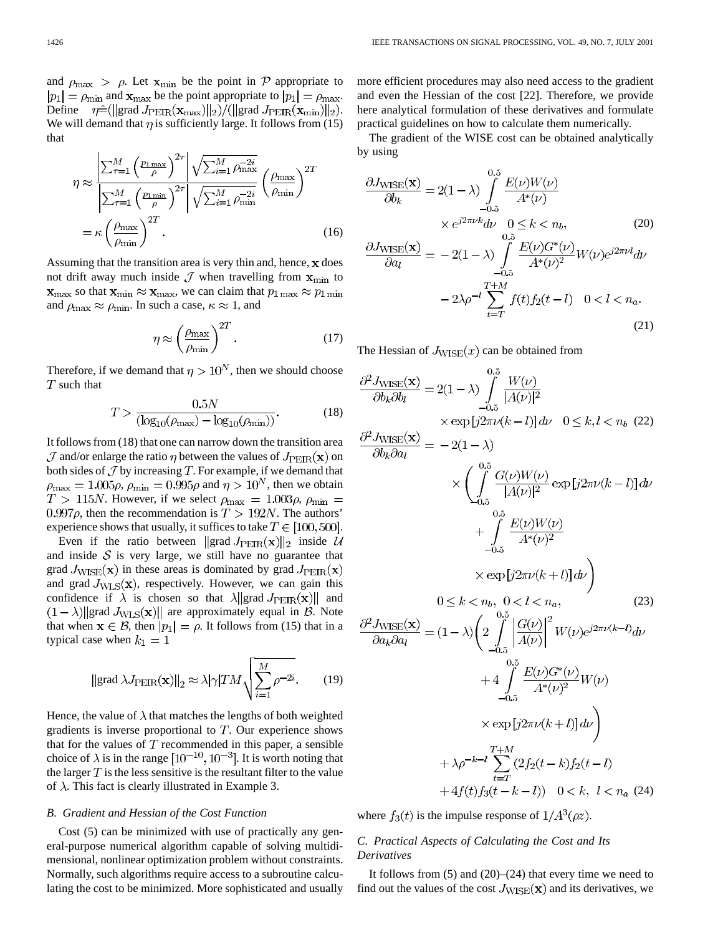and  $\rho_{\text{max}} > \rho$ . Let  $\mathbf{x}_{\text{min}}$  be the point in P appropriate to  $|p_1| = \rho_{\min}$  and  $\mathbf{x}_{\max}$  be the point appropriate to  $|p_1| = \rho_{\max}$ . Define  $\eta \hat{=} (\|\text{grad } J_{\text{PEIR}}(\mathbf{x}_{\text{max}}) \|_2) / (\|\text{grad } J_{\text{PEIR}}(\mathbf{x}_{\text{min}}) \|_2).$ We will demand that  $\eta$  is sufficiently large. It follows from (15) that

$$
\eta \approx \frac{\left| \sum_{\tau=1}^{M} \left( \frac{p_{1\max}}{\rho} \right)^{2\tau} \right| \sqrt{\sum_{i=1}^{M} \rho_{\max}^{-2i}}}{\left| \sum_{\tau=1}^{M} \left( \frac{p_{1\min}}{\rho} \right)^{2\tau} \right| \sqrt{\sum_{i=1}^{M} \rho_{\min}^{-2i}}} \left( \frac{\rho_{\max}}{\rho_{\min}} \right)^{2T}
$$
\n
$$
= \kappa \left( \frac{\rho_{\max}}{\rho_{\min}} \right)^{2T} . \tag{16}
$$

Assuming that the transition area is very thin and, hence,  $x$  does not drift away much inside  $\mathcal J$  when travelling from  $\mathbf x_{\min}$  to  $\mathbf{x}_{\text{max}}$  so that  $\mathbf{x}_{\text{min}} \approx \mathbf{x}_{\text{max}}$ , we can claim that  $p_{1\text{max}} \approx p_{1\text{min}}$ and  $\rho_{\text{max}} \approx \rho_{\text{min}}$ . In such a case,  $\kappa \approx 1$ , and

$$
\eta \approx \left(\frac{\rho_{\text{max}}}{\rho_{\text{min}}}\right)^{2T}.\tag{17}
$$

Therefore, if we demand that  $\eta > 10^N$ , then we should choose  $T$  such that

$$
T > \frac{0.5N}{(\log_{10}(\rho_{\text{max}}) - \log_{10}(\rho_{\text{min}}))}.
$$
 (18)

It follows from (18) that one can narrow down the transition area  $\mathcal J$  and/or enlarge the ratio  $\eta$  between the values of  $J_{\rm PEIR}(\mathbf x)$  on both sides of  $\mathcal J$  by increasing  $T$ . For example, if we demand that  $\rho_{\text{max}} = 1.005 \rho$ ,  $\rho_{\text{min}} = 0.995 \rho$  and  $\eta > 10^N$ , then we obtain  $T > 115N$ . However, if we select  $\rho_{\text{max}} = 1.003\rho$ ,  $\rho_{\text{min}} =$ 0.997 $\rho$ , then the recommendation is  $T > 192N$ . The authors' experience shows that usually, it suffices to take  $T \in [100, 500]$ .

Even if the ratio between  $\|\text{grad } J_{\text{PEIR}}(\mathbf{x})\|_2$  inside U and inside  $S$  is very large, we still have no guarantee that grad  $J_{\text{WISE}}(\mathbf{x})$  in these areas is dominated by grad  $J_{\text{PEIR}}(\mathbf{x})$ and grad  $J_{\text{WLS}}(\mathbf{x})$ , respectively. However, we can gain this confidence if  $\lambda$  is chosen so that  $\lambda$ ||grad  $J_{\rm PEIR}(\mathbf{x})$ || and  $(1 - \lambda)$ ||grad  $J_{\text{WLS}}(\mathbf{x})$ || are approximately equal in B. Note that when  $\mathbf{x} \in \mathcal{B}$ , then  $|p_1| = \rho$ . It follows from (15) that in a typical case when  $k_1 = 1$ 

$$
\|\text{grad }\lambda J_{\text{PEIR}}(\mathbf{x})\|_{2} \approx \lambda |\gamma| TM \sqrt{\sum_{i=1}^{M} \rho^{-2i}}.
$$
 (19)

Hence, the value of  $\lambda$  that matches the lengths of both weighted gradients is inverse proportional to  $T$ . Our experience shows that for the values of  $T$  recommended in this paper, a sensible choice of  $\lambda$  is in the range  $[10^{-10}, 10^{-3}]$ . It is worth noting that the larger  $T$  is the less sensitive is the resultant filter to the value of  $\lambda$ . This fact is clearly illustrated in Example 3.

## *B. Gradient and Hessian of the Cost Function*

Cost (5) can be minimized with use of practically any general-purpose numerical algorithm capable of solving multidimensional, nonlinear optimization problem without constraints. Normally, such algorithms require access to a subroutine calculating the cost to be minimized. More sophisticated and usually more efficient procedures may also need access to the gradient and even the Hessian of the cost [22]. Therefore, we provide here analytical formulation of these derivatives and formulate practical guidelines on how to calculate them numerically.

The gradient of the WISE cost can be obtained analytically by using

$$
\frac{\partial J_{\text{WISE}}(\mathbf{x})}{\partial b_k} = 2(1 - \lambda) \int_{-0.5}^{0.5} \frac{E(\nu)W(\nu)}{A^*(\nu)}
$$
  
\n
$$
\times e^{j2\pi\nu k} d\nu \quad 0 \le k < n_b,
$$
\n(20)  
\n
$$
\frac{\partial J_{\text{WISE}}(\mathbf{x})}{\partial a_l} = -2(1 - \lambda) \int_{-0.5}^{0.5} \frac{E(\nu)G^*(\nu)}{A^*(\nu)^2} W(\nu) e^{j2\pi\nu l} d\nu
$$
  
\n
$$
-2\lambda \rho^{-l} \sum_{t=T}^{T+M} f(t) f_2(t-l) \quad 0 < l < n_a.
$$
\n(21)

The Hessian of  $J_{\text{WISE}}(x)$  can be obtained from

$$
\frac{\partial^2 J_{\text{WISE}}(\mathbf{x})}{\partial b_k \partial b_l} = 2(1 - \lambda) \int_{-0.5}^{0.5} \frac{W(\nu)}{|A(\nu)|^2} \times \exp[j2\pi\nu(k-l)] d\nu \quad 0 \le k, l < n_b \quad (22)
$$
\n
$$
\frac{\partial^2 J_{\text{WISE}}(\mathbf{x})}{\partial b_k \partial a_l} = -2(1 - \lambda) \times \left( \int_{0.5}^{0.5} \frac{G(\nu)W(\nu)}{|A(\nu)|^2} \exp[j2\pi\nu(k-l)] d\nu + \int_{-0.5}^{0.5} \frac{E(\nu)W(\nu)}{A^*(\nu)^2} \times \exp[j2\pi\nu(k+l)] d\nu \right)
$$
\n
$$
0 \le k < n_b, \quad 0 < l < n_a, \quad (23)
$$
\n
$$
\frac{\partial^2 J_{\text{WISE}}(\mathbf{x})}{\partial a_k \partial a_l} = (1 - \lambda) \left( 2 \int_{-0.5}^{0.5} \frac{|G(\nu)|}{|A(\nu)|}^2 W(\nu) e^{j2\pi\nu(k-l)} d\nu + 4 \int_{-0.5}^{0.5} \frac{E(\nu)G^*(\nu)}{A^*(\nu)^2} W(\nu) \times \exp[j2\pi\nu(k+l)] d\nu \right)
$$
\n
$$
+ \lambda e^{-k-l} \sum_{l=0}^{T+M} (2f_0(t-k) f_0(t-l))
$$

+4
$$
f(t)f_3(t-k-l)
$$
)  $0 < k, l < n_a$  (24)

where  $f_3(t)$  is the impulse response of  $1/A^3(\rho z)$ .

# *C. Practical Aspects of Calculating the Cost and Its Derivatives*

It follows from  $(5)$  and  $(20)$ – $(24)$  that every time we need to find out the values of the cost  $J_{\text{WISE}}(\mathbf{x})$  and its derivatives, we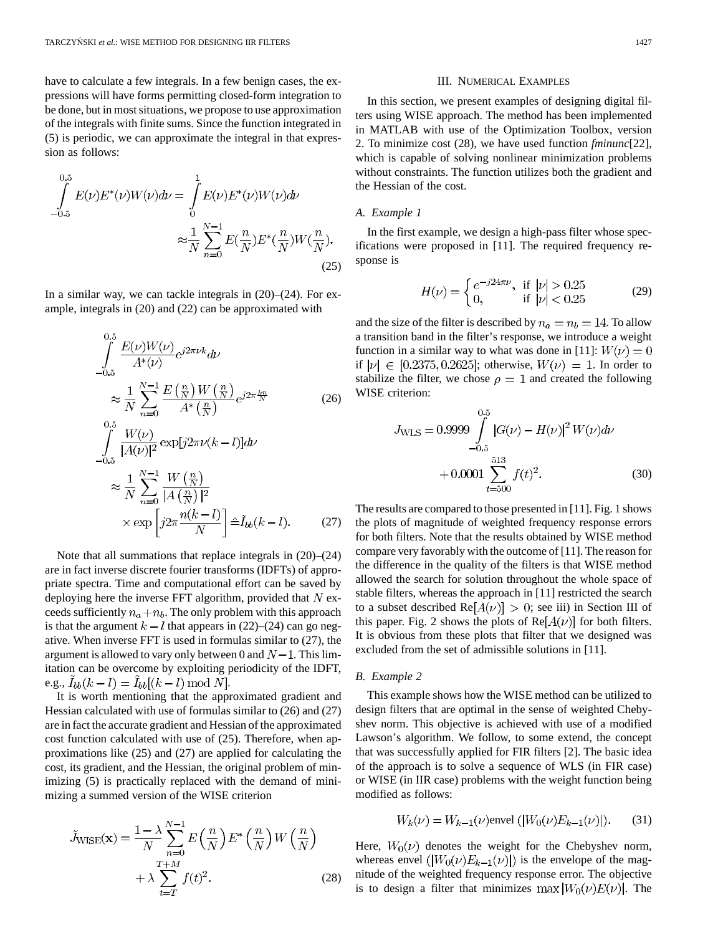have to calculate a few integrals. In a few benign cases, the expressions will have forms permitting closed-form integration to be done, but in most situations, we propose to use approximation of the integrals with finite sums. Since the function integrated in (5) is periodic, we can approximate the integral in that expression as follows:

$$
\int_{-0.5}^{0.5} E(\nu) E^*(\nu) W(\nu) d\nu = \int_{0}^{1} E(\nu) E^*(\nu) W(\nu) d\nu
$$

$$
\approx \frac{1}{N} \sum_{n=0}^{N-1} E(\frac{n}{N}) E^*(\frac{n}{N}) W(\frac{n}{N}).
$$
\n(25)

In a similar way, we can tackle integrals in  $(20)$ – $(24)$ . For example, integrals in (20) and (22) can be approximated with

$$
\int_{-0.5}^{0.5} \frac{E(\nu)W(\nu)}{A^*(\nu)} e^{j2\pi\nu k} d\nu
$$
\n
$$
\approx \frac{1}{N} \sum_{n=0}^{N-1} \frac{E\left(\frac{n}{N}\right)W\left(\frac{n}{N}\right)}{A^*\left(\frac{n}{N}\right)} e^{j2\pi\frac{k n}{N}} \qquad (26)
$$
\n
$$
\int_{-0.5}^{0.5} \frac{W(\nu)}{|A(\nu)|^2} \exp[j2\pi\nu(k-l)] d\nu
$$
\n
$$
\approx \frac{1}{N} \sum_{n=0}^{N-1} \frac{W\left(\frac{n}{N}\right)}{|A\left(\frac{n}{N}\right)|^2} \qquad \times \exp\left[j2\pi\frac{n(k-l)}{N}\right] \hat{=} \tilde{I}_{bb}(k-l). \qquad (27)
$$

Note that all summations that replace integrals in (20)–(24) are in fact inverse discrete fourier transforms (IDFTs) of appropriate spectra. Time and computational effort can be saved by deploying here the inverse FFT algorithm, provided that  $N$  exceeds sufficiently  $n_a + n_b$ . The only problem with this approach is that the argument  $k-l$  that appears in (22)–(24) can go negative. When inverse FFT is used in formulas similar to (27), the argument is allowed to vary only between 0 and  $N-1$ . This limitation can be overcome by exploiting periodicity of the IDFT, e.g.,  $I_{bb}(k-l) = I_{bb}[(k-l) \bmod N].$ 

It is worth mentioning that the approximated gradient and Hessian calculated with use of formulas similar to (26) and (27) are in fact the accurate gradient and Hessian of the approximated cost function calculated with use of (25). Therefore, when approximations like (25) and (27) are applied for calculating the cost, its gradient, and the Hessian, the original problem of minimizing  $(5)$  is practically replaced with the demand of minimizing a summed version of the WISE criterion

$$
\tilde{J}_{\text{WISE}}(\mathbf{x}) = \frac{1 - \lambda}{N} \sum_{n=0}^{N-1} E\left(\frac{n}{N}\right) E^*\left(\frac{n}{N}\right) W\left(\frac{n}{N}\right) + \lambda \sum_{t=T}^{T+M} f(t)^2.
$$
\n(28)

#### III. NUMERICAL EXAMPLES

In this section, we present examples of designing digital filters using WISE approach. The method has been implemented in MATLAB with use of the Optimization Toolbox, version 2. To minimize cost (28), we have used function *fminunc*[22], which is capable of solving nonlinear minimization problems without constraints. The function utilizes both the gradient and the Hessian of the cost.

## *A. Example 1*

In the first example, we design a high-pass filter whose specifications were proposed in [11]. The required frequency response is

$$
H(\nu) = \begin{cases} e^{-j24\pi\nu}, & \text{if } |\nu| > 0.25\\ 0, & \text{if } |\nu| < 0.25 \end{cases}
$$
 (29)

and the size of the filter is described by  $n_a = n_b = 14$ . To allow a transition band in the filter's response, we introduce a weight function in a similar way to what was done in [11]:  $W(\nu) = 0$ if  $|\nu| \in [0.2375, 0.2625]$ ; otherwise,  $W(\nu) = 1$ . In order to stabilize the filter, we chose  $\rho = 1$  and created the following WISE criterion:

$$
J_{\text{WLS}} = 0.9999 \int_{-0.5}^{0.5} |G(\nu) - H(\nu)|^2 W(\nu) d\nu + 0.0001 \sum_{t=500}^{513} f(t)^2.
$$
 (30)

The results are compared to those presented in [11]. Fig. 1 shows the plots of magnitude of weighted frequency response errors for both filters. Note that the results obtained by WISE method compare very favorably with the outcome of [11]. The reason for the difference in the quality of the filters is that WISE method allowed the search for solution throughout the whole space of stable filters, whereas the approach in [11] restricted the search to a subset described  $Re[A(\nu)] > 0$ ; see iii) in Section III of this paper. Fig. 2 shows the plots of  $\text{Re}[A(\nu)]$  for both filters. It is obvious from these plots that filter that we designed was excluded from the set of admissible solutions in [11].

## *B. Example 2*

This example shows how the WISE method can be utilized to design filters that are optimal in the sense of weighted Chebyshev norm. This objective is achieved with use of a modified Lawson's algorithm. We follow, to some extend, the concept that was successfully applied for FIR filters [2]. The basic idea of the approach is to solve a sequence of WLS (in FIR case) or WISE (in IIR case) problems with the weight function being modified as follows:

$$
W_k(\nu) = W_{k-1}(\nu) \text{envel } (|W_0(\nu)E_{k-1}(\nu)|). \tag{31}
$$

Here,  $W_0(\nu)$  denotes the weight for the Chebyshev norm, whereas envel  $(|W_0(\nu)E_{k-1}(\nu)|)$  is the envelope of the magnitude of the weighted frequency response error. The objective is to design a filter that minimizes  $\max |W_0(\nu)E(\nu)|$ . The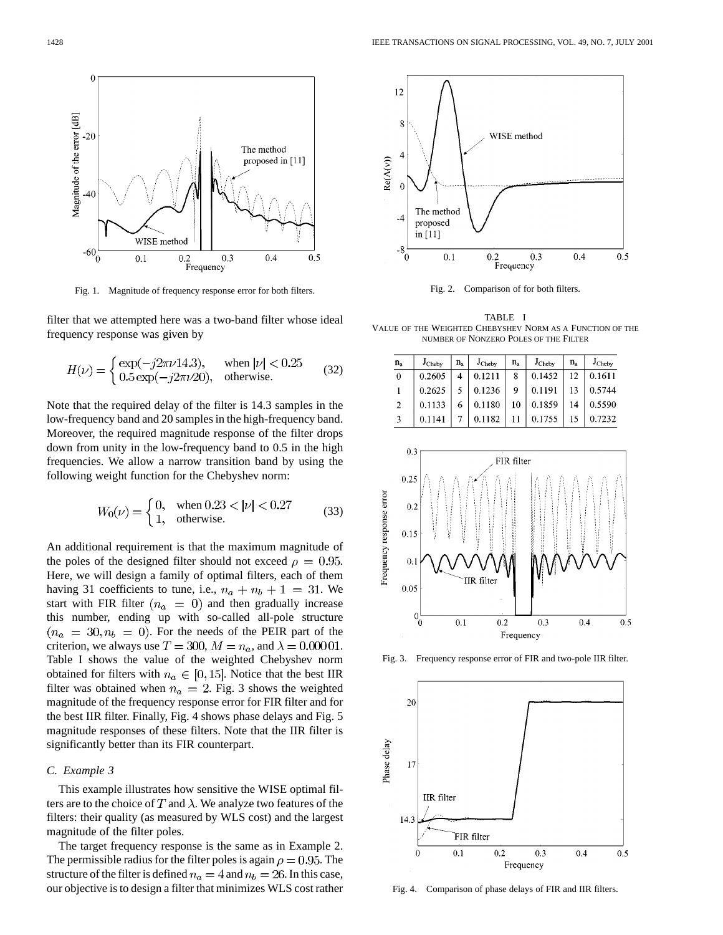

Fig. 1. Magnitude of frequency response error for both filters.

filter that we attempted here was a two-band filter whose ideal frequency response was given by

$$
H(\nu) = \begin{cases} \exp(-j2\pi\nu 14.3), & \text{when } |\nu| < 0.25\\ 0.5 \exp(-j2\pi\nu 20), & \text{otherwise.} \end{cases}
$$
 (32)

Note that the required delay of the filter is 14.3 samples in the low-frequency band and 20 samples in the high-frequency band. Moreover, the required magnitude response of the filter drops down from unity in the low-frequency band to 0.5 in the high frequencies. We allow a narrow transition band by using the following weight function for the Chebyshev norm:

$$
W_0(\nu) = \begin{cases} 0, & \text{when } 0.23 < |\nu| < 0.27\\ 1, & \text{otherwise.} \end{cases} \tag{33}
$$

An additional requirement is that the maximum magnitude of the poles of the designed filter should not exceed  $\rho = 0.95$ . Here, we will design a family of optimal filters, each of them having 31 coefficients to tune, i.e.,  $n_a + n_b + 1 = 31$ . We start with FIR filter  $(n_a = 0)$  and then gradually increase this number, ending up with so-called all-pole structure  $(n_a = 30, n_b = 0)$ . For the needs of the PEIR part of the criterion, we always use  $T = 300$ ,  $M = n_a$ , and  $\lambda = 0.00001$ . Table I shows the value of the weighted Chebyshev norm obtained for filters with  $n_a \in [0, 15]$ . Notice that the best IIR filter was obtained when  $n_a = 2$ . Fig. 3 shows the weighted magnitude of the frequency response error for FIR filter and for the best IIR filter. Finally, Fig. 4 shows phase delays and Fig. 5 magnitude responses of these filters. Note that the IIR filter is significantly better than its FIR counterpart.

# *C. Example 3*

This example illustrates how sensitive the WISE optimal filters are to the choice of T and  $\lambda$ . We analyze two features of the filters: their quality (as measured by WLS cost) and the largest magnitude of the filter poles.

The target frequency response is the same as in Example 2. The permissible radius for the filter poles is again  $\rho = 0.95$ . The structure of the filter is defined  $n_a = 4$  and  $n_b = 26$ . In this case, our objective is to design a filter that minimizes WLS cost rather



Fig. 2. Comparison of for both filters.

TABLE I VALUE OF THE WEIGHTED CHEBYSHEV NORM AS A FUNCTION OF THE NUMBER OF NONZERO POLES OF THE FILTER

| $n_{a}$  | $J_{Cheby}$ | $n_{a}$ | $J_{Cheby}$ | $n_{\rm a}$ | J <sub>Cheby</sub> | $n_{\rm a}$ | $J_{Cheby}$ |
|----------|-------------|---------|-------------|-------------|--------------------|-------------|-------------|
| $\bf{0}$ | 0.2605      | 4       | 0.1211      | 8           | 0.1452             | 12          | 0.1611      |
|          | 0.2625      |         | 0.1236      | 9           | 0.1191             | 13          | 0.5744      |
| -2       | 0.1133      | 6       | 0.1180      | 10          | 0.1859             | 14          | 0.5590      |
| 3        | 0.1141      |         | 0.1182      |             | 0.1755             | 15          | 0.7232      |



Fig. 3. Frequency response error of FIR and two-pole IIR filter.



Fig. 4. Comparison of phase delays of FIR and IIR filters.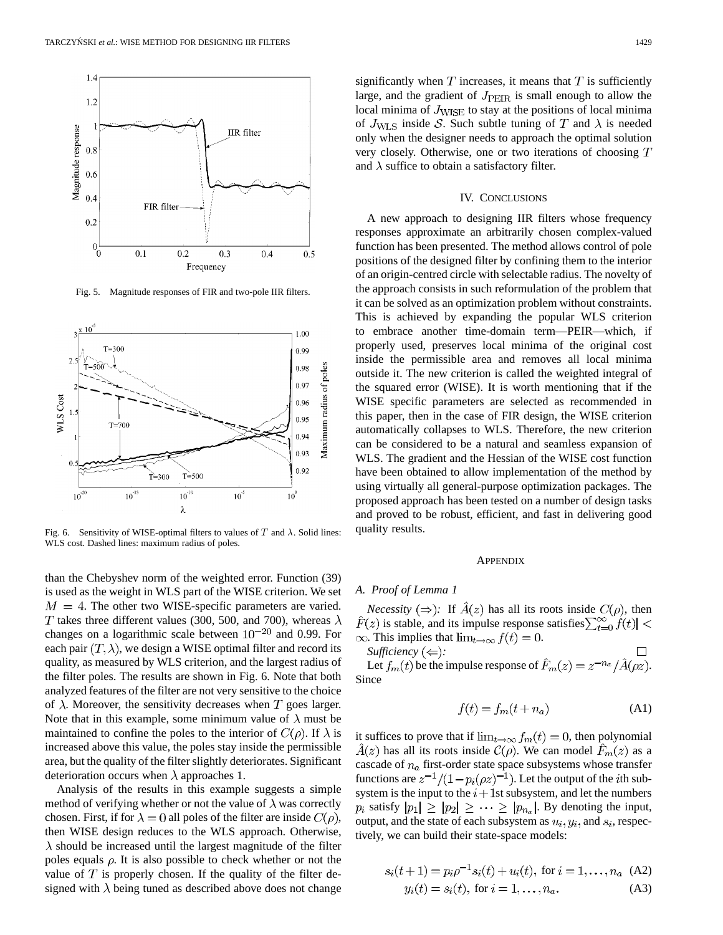

Fig. 5. Magnitude responses of FIR and two-pole IIR filters.



Fig. 6. Sensitivity of WISE-optimal filters to values of  $T$  and  $\lambda$ . Solid lines: WLS cost. Dashed lines: maximum radius of poles.

than the Chebyshev norm of the weighted error. Function (39) is used as the weight in WLS part of the WISE criterion. We set  $M = 4$ . The other two WISE-specific parameters are varied. T takes three different values (300, 500, and 700), whereas  $\lambda$ changes on a logarithmic scale between  $10^{-20}$  and 0.99. For each pair  $(T, \lambda)$ , we design a WISE optimal filter and record its quality, as measured by WLS criterion, and the largest radius of the filter poles. The results are shown in Fig. 6. Note that both analyzed features of the filter are not very sensitive to the choice of  $\lambda$ . Moreover, the sensitivity decreases when T goes larger. Note that in this example, some minimum value of  $\lambda$  must be maintained to confine the poles to the interior of  $C(\rho)$ . If  $\lambda$  is increased above this value, the poles stay inside the permissible area, but the quality of the filter slightly deteriorates. Significant deterioration occurs when  $\lambda$  approaches 1.

Analysis of the results in this example suggests a simple method of verifying whether or not the value of  $\lambda$  was correctly chosen. First, if for  $\lambda = 0$  all poles of the filter are inside  $C(\rho)$ , then WISE design reduces to the WLS approach. Otherwise,  $\lambda$  should be increased until the largest magnitude of the filter poles equals  $\rho$ . It is also possible to check whether or not the value of  $T$  is properly chosen. If the quality of the filter designed with  $\lambda$  being tuned as described above does not change significantly when  $T$  increases, it means that  $T$  is sufficiently large, and the gradient of  $J_{\text{PER}}$  is small enough to allow the local minima of  $J_{\text{WISE}}$  to stay at the positions of local minima of  $J_{\text{WLS}}$  inside S. Such subtle tuning of T and  $\lambda$  is needed only when the designer needs to approach the optimal solution very closely. Otherwise, one or two iterations of choosing  $T$ and  $\lambda$  suffice to obtain a satisfactory filter.

#### IV. CONCLUSIONS

A new approach to designing IIR filters whose frequency responses approximate an arbitrarily chosen complex-valued function has been presented. The method allows control of pole positions of the designed filter by confining them to the interior of an origin-centred circle with selectable radius. The novelty of the approach consists in such reformulation of the problem that it can be solved as an optimization problem without constraints. This is achieved by expanding the popular WLS criterion to embrace another time-domain term—PEIR—which, if properly used, preserves local minima of the original cost inside the permissible area and removes all local minima outside it. The new criterion is called the weighted integral of the squared error (WISE). It is worth mentioning that if the WISE specific parameters are selected as recommended in this paper, then in the case of FIR design, the WISE criterion automatically collapses to WLS. Therefore, the new criterion can be considered to be a natural and seamless expansion of WLS. The gradient and the Hessian of the WISE cost function have been obtained to allow implementation of the method by using virtually all general-purpose optimization packages. The proposed approach has been tested on a number of design tasks and proved to be robust, efficient, and fast in delivering good quality results.

#### **APPENDIX**

#### *A. Proof of Lemma 1*

*Necessity*  $(\Rightarrow)$ : If  $\hat{A}(z)$  has all its roots inside  $C(\rho)$ , then  $\hat{F}(z)$  is stable, and its impulse response satisfies  $\sum_{t=0}^{\infty} \hat{f}(t) <$  $\infty$ . This implies that  $\lim_{t\to\infty} f(t) = 0$ .

*Sufficiency*  $(\Leftarrow)$ *:* 

Let  $f_m(t)$  be the impulse response of  $\hat{F}_m(z) = z^{-n_a}/\hat{A}(\rho z)$ . Since

$$
f(t) = f_m(t + n_a)
$$
 (A1)

it suffices to prove that if  $\lim_{t\to\infty} f_m(t) = 0$ , then polynomial  $A(z)$  has all its roots inside  $C(\rho)$ . We can model  $F_m(z)$  as a cascade of  $n_a$  first-order state space subsystems whose transfer functions are  $z^{-1}/(1-p_i(\rho z)^{-1})$ . Let the output of the *i*th subsystem is the input to the  $i+1$ st subsystem, and let the numbers  $p_i$  satisfy  $|p_1| \geq |p_2| \geq \cdots \geq |p_{n_a}|$ . By denoting the input, output, and the state of each subsystem as  $u_i, y_i$ , and  $s_i$ , respectively, we can build their state-space models:

$$
s_i(t+1) = p_i \rho^{-1} s_i(t) + u_i(t), \text{ for } i = 1, ..., n_a \text{ (A2)}
$$
  

$$
y_i(t) = s_i(t), \text{ for } i = 1, ..., n_a.
$$
 (A3)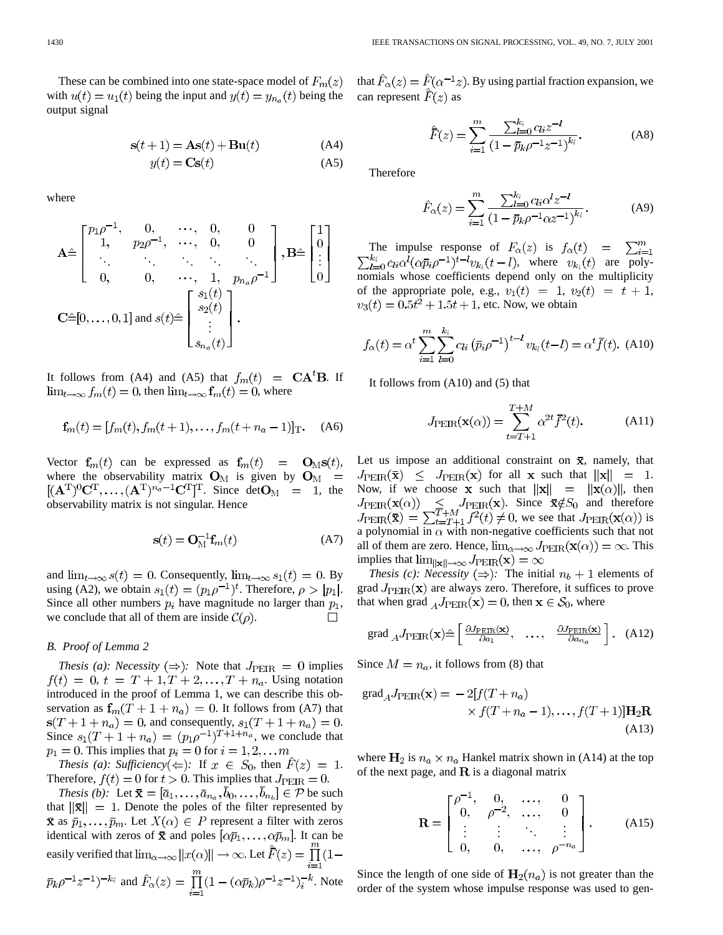These can be combined into one state-space model of  $F_m(z)$ with  $u(t) = u_1(t)$  being the input and  $y(t) = y_{n_a}(t)$  being the output signal

$$
\mathbf{s}(t+1) = \mathbf{As}(t) + \mathbf{Bu}(t)
$$
\n
$$
y(t) = \mathbf{Cs}(t)
$$
\n(A4)\n(A5)

where

$$
\mathbf{A} \hat{=} \begin{bmatrix} p_1 \rho^{-1}, & 0, & \cdots, & 0, & 0 \\ 1, & p_2 \rho^{-1}, & \cdots, & 0, & 0 \\ \vdots & \vdots & \ddots & \vdots & \ddots & \vdots \\ 0, & 0, & \cdots, & 1, & p_{n_a} \rho^{-1} \end{bmatrix}, \mathbf{B} \hat{=} \begin{bmatrix} 1 \\ 0 \\ \vdots \\ 0 \end{bmatrix}
$$
  

$$
\mathbf{C} \hat{=} [0, \ldots, 0, 1] \text{ and } s(t) \hat{=} \begin{bmatrix} s_1(t) \\ s_2(t) \\ \vdots \\ s_{n_a}(t) \end{bmatrix}.
$$

It follows from (A4) and (A5) that  $f_m(t) = \mathbf{CA}^t \mathbf{B}$ . If  $\lim_{t\to\infty} f_m(t) = 0$ , then  $\lim_{t\to\infty} \mathbf{f}_m(t) = 0$ , where

$$
\mathbf{f}_m(t) = [f_m(t), f_m(t+1), \dots, f_m(t+n_a-1)]_{\mathrm{T}}.
$$
 (A6)

Vector  $f_m(t)$  can be expressed as  $f_m(t) = O_M(s(t))$ , where the observability matrix  $O_M$  is given by  $O_M$  =  $[(\mathbf{A}^T)^0 \mathbf{C}^T, \dots, (\mathbf{A}^T)^{n_a-1} \mathbf{C}^T]^T$ . Since det $\mathbf{O}_M = 1$ , the observability matrix is not singular. Hence

$$
\mathbf{s}(t) = \mathbf{O}_{\mathbf{M}}^{-1} \mathbf{f}_m(t) \tag{A7}
$$

and  $\lim_{t\to\infty} s(t) = 0$ . Consequently,  $\lim_{t\to\infty} s_1(t) = 0$ . By using (A2), we obtain  $s_1(t) = (p_1 \rho^{-1})^t$ . Therefore,  $\rho > |p_1|$ . Since all other numbers  $p_i$  have magnitude no larger than  $p_1$ , we conclude that all of them are inside  $C(\rho)$ .  $\Box$ 

#### *B. Proof of Lemma 2*

*Thesis (a): Necessity*  $(\Rightarrow)$ : Note that  $J_{\text{PEIR}} = 0$  implies  $f(t) = 0, t = T + 1, T + 2,..., T + n_a$ . Using notation introduced in the proof of Lemma 1, we can describe this observation as  $f_m(T + 1 + n_a) = 0$ . It follows from (A7) that  $s(T + 1 + n_a) = 0$ , and consequently,  $s_1(T + 1 + n_a) = 0$ . Since  $s_1(T + 1 + n_a) = (p_1 \rho^{-1})^{T+1+n_a}$ , we conclude that  $p_1 = 0$ . This implies that  $p_i = 0$  for  $i = 1, 2, \dots m$ 

*Thesis (a): Sufficiency*( $\Leftarrow$ ): If  $x \in S_0$ , then  $\hat{F}(z) = 1$ . Therefore,  $f(t) = 0$  for  $t > 0$ . This implies that  $J_{\text{PEIR}} = 0$ .

*Thesis (b)*: Let  $\bar{\mathbf{x}} = [\bar{a}_1, \dots, \bar{a}_{n_a}, b_0, \dots, b_{n_b}] \in \mathcal{P}$  be such that  $\|\bar{\mathbf{x}}\| = 1$ . Denote the poles of the filter represented by  $\bar{x}$  as  $\bar{p}_1, \ldots, \bar{p}_m$ . Let  $X(\alpha) \in P$  represent a filter with zeros identical with zeros of  $\bar{\mathbf{x}}$  and poles  $[\alpha \bar{p}_1, \dots, \alpha \bar{p}_m]$ . It can be easily verified that  $\lim_{\alpha\to\infty}||x(\alpha)||\to\infty$ . Let  $\hat{F}(z)=\prod_{n=1}^{m}(1-\alpha)^n$  $\bar{p}_k \rho^{-1} z^{-1}$ )<sup>-k<sub>i</sub></sup> and  $\hat{F}_\alpha(z) = \prod_{k=1}^m (1 - (\alpha \bar{p}_k) \rho^{-1} z^{-1})_i^{-k}$ . Note that  $\hat{F}_{\alpha}(z) = \hat{F}(\alpha^{-1}z)$ . By using partial fraction expansion, we can represent  $\vec{F}(z)$  as

$$
\hat{F}(z) = \sum_{i=1}^{m} \frac{\sum_{l=0}^{k_i} c_{li} z^{-l}}{\left(1 - \bar{p}_k \rho^{-1} z^{-1}\right)^{k_i}}.
$$
 (A8)

Therefore

$$
\hat{F}_{\alpha}(z) = \sum_{i=1}^{m} \frac{\sum_{l=0}^{k_i} c_{li} \alpha^l z^{-l}}{(1 - \bar{p}_k \rho^{-1} \alpha z^{-1})^{k_i}}.
$$
 (A9)

The impulse response of  $F_{\alpha}(z)$  is  $f_{\alpha}(t) = \sum_{i=1}^{m}$  $\sum_{l=0}^{k_i} c_{li} \alpha^l (\alpha \bar{p}_i \rho^{-1})^{t-l} v_{k_i}(t-l)$ , where  $v_{k_i}(t)$  are polynomials whose coefficients depend only on the multiplicity of the appropriate pole, e.g.,  $v_1(t) = 1$ ,  $v_2(t) = t + 1$ ,  $v_3(t) = 0.5t^2 + 1.5t + 1$ , etc. Now, we obtain

$$
f_{\alpha}(t) = \alpha^{t} \sum_{i=1}^{m} \sum_{l=0}^{k_{i}} c_{li} (\bar{p}_{i} \rho^{-1})^{t-l} v_{k_{i}}(t-l) = \alpha^{t} \bar{f}(t). \tag{A10}
$$

It follows from (A10) and (5) that

$$
J_{\text{PEIR}}(\mathbf{x}(\alpha)) = \sum_{t=T+1}^{T+M} \alpha^{2t} \bar{f}^{2}(t).
$$
 (A11)

Let us impose an additional constraint on  $\bar{x}$ , namely, that  $J_{\rm PEIR}(\bar{\mathbf{x}}) \leq J_{\rm PEIR}(\mathbf{x})$  for all **x** such that  $\|\mathbf{x}\| = 1$ . Now, if we choose **x** such that  $||\mathbf{x}|| = ||\mathbf{x}(\alpha)||$ , then . Since  $\bar{\mathbf{x}} \notin S_0$  and therefore , we see that  $J_{\rm PEIR}(\mathbf{x}(\alpha))$  is a polynomial in  $\alpha$  with non-negative coefficients such that not all of them are zero. Hence,  $\lim_{\alpha \to \infty} J_{\text{PEIR}}(\mathbf{x}(\alpha)) = \infty$ . This implies that  $\lim_{\|\mathbf{x}\| \to \infty} J_{\text{PEIR}}(\mathbf{x}) = \infty$ 

*Thesis (c): Necessity*  $(\Rightarrow)$ : The initial  $n_b + 1$  elements of grad  $J_{\rm PEIR}(\mathbf{x})$  are always zero. Therefore, it suffices to prove that when grad  $_A J_{\text{PEIR}}(\mathbf{x}) = 0$ , then  $\mathbf{x} \in \mathcal{S}_0$ , where

grad 
$$
_{A}J_{\text{PEIR}}(\mathbf{x}) \hat{=} \begin{bmatrix} \frac{\partial J_{\text{PEIR}}(\mathbf{x})}{\partial a_{1}}, \dots, \frac{\partial J_{\text{PEIR}}(\mathbf{x})}{\partial a_{n_{a}}} \end{bmatrix}
$$
. (A12)

Since  $M = n_a$ , it follows from (8) that

$$
\text{grad}_A J_{\text{PEIR}}(\mathbf{x}) = -2[f(T + n_a) \times f(T + n_a - 1), \dots, f(T + 1)]\mathbf{H}_2 \mathbf{R}
$$
\n(A13)

where  $H_2$  is  $n_a \times n_a$  Hankel matrix shown in (A14) at the top of the next page, and  $\bf{R}$  is a diagonal matrix

$$
\mathbf{R} = \begin{bmatrix} \rho^{-1}, & 0, & \dots, & 0 \\ 0, & \rho^{-2}, & \dots, & 0 \\ \vdots & \vdots & \ddots & \vdots \\ 0, & 0, & \dots, & \rho^{-n_a} \end{bmatrix} .
$$
 (A15)

Since the length of one side of  $H_2(n_a)$  is not greater than the order of the system whose impulse response was used to gen-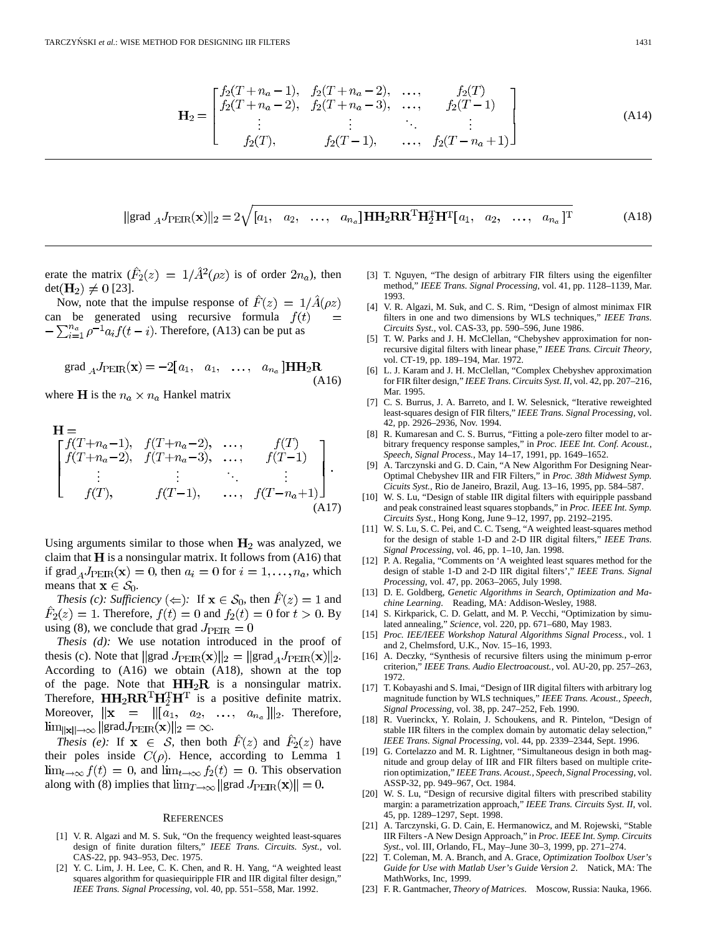$$
\mathbf{H}_{2} = \begin{bmatrix} f_{2}(T+n_{a}-1), & f_{2}(T+n_{a}-2), & \dots, & f_{2}(T) \\ f_{2}(T+n_{a}-2), & f_{2}(T+n_{a}-3), & \dots, & f_{2}(T-1) \\ \vdots & \vdots & \ddots & \vdots \\ f_{2}(T), & f_{2}(T-1), & \dots, & f_{2}(T-n_{a}+1) \end{bmatrix}
$$
(A14)

$$
\|\text{grad }_{A}J_{\text{PEIR}}(\mathbf{x})\|_{2} = 2\sqrt{[a_{1}, a_{2}, \dots, a_{n_{a}}] \mathbf{H} \mathbf{H}_{2} \mathbf{R} \mathbf{R}^{\text{T}} \mathbf{H}_{2}^{\text{T}} \mathbf{H}^{\text{T}}[a_{1}, a_{2}, \dots, a_{n_{a}}]^{\text{T}}
$$
(A18)

erate the matrix  $(\hat{F}_2(z) = 1/\hat{A}^2(\rho z)$  is of order  $2n_a$ ), then  $det(\mathbf{H}_2) \neq 0$  [23].

Now, note that the impulse response of  $F(z) = 1/A(\rho z)$ can be generated using recursive formula  $f(t)$  $-\sum_{i=1}^{n_a} \rho^{-1} a_i f(t-i)$ . Therefore, (A13) can be put as

$$
\text{grad } {}_{A}J_{\text{PEIR}}(\mathbf{x}) = -2[a_1, a_1, \dots, a_{n_a}] \mathbf{HH}_2 \mathbf{R}
$$
\n(A16)

where **H** is the  $n_a \times n_a$  Hankel matrix

$$
\mathbf{H} = \n\begin{bmatrix}\nf(T+n_a-1), & f(T+n_a-2), & \dots, & f(T) \\
f(T+n_a-2), & f(T+n_a-3), & \dots, & f(T-1) \\
\vdots & \vdots & \ddots & \vdots \\
f(T), & f(T-1), & \dots, & f(T-n_a+1)\n\end{bmatrix}.
$$
\n(A17)

Using arguments similar to those when  $H_2$  was analyzed, we claim that  $H$  is a nonsingular matrix. It follows from (A16) that if  $\text{grad}_A J_{\text{PEIR}}(\mathbf{x}) = 0$ , then  $a_i = 0$  for  $i = 1, \dots, n_a$ , which means that  $\mathbf{x} \in \mathcal{S}_0$ .

*Thesis (c): Sufficiency*  $\iff$ : If  $\mathbf{x} \in S_0$ , then  $\hat{F}(z) = 1$  and  $F_2(z) = 1$ . Therefore,  $f(t) = 0$  and  $f_2(t) = 0$  for  $t > 0$ . By using (8), we conclude that grad  $J_{\text{PEIR}} = 0$ 

*Thesis (d):* We use notation introduced in the proof of thesis (c). Note that  $||grad J_{\text{PEIR}}(\mathbf{x})||_2 = ||grad_A J_{\text{PEIR}}(\mathbf{x})||_2$ . According to (A16) we obtain (A18), shown at the top of the page. Note that  $HH<sub>2</sub>R$  is a nonsingular matrix. Therefore,  $HH_2RR^TH_2^TH^T$  is a positive definite matrix. Moreover,  $\|\mathbf{x}\| = \|[a_1, a_2, \dots, a_{n_a}]\|_2$ . Therefore,  $\lim_{\|\mathbf{x}\| \to \infty} \|\text{grad} J_{\text{PEIR}}(\mathbf{x})\|_2 = \infty.$ 

*Thesis (e):* If  $x \in S$ , then both  $\hat{F}(z)$  and  $\hat{F}_2(z)$  have their poles inside  $C(\rho)$ . Hence, according to Lemma 1  $\lim_{t\to\infty} f(t) = 0$ , and  $\lim_{t\to\infty} f_2(t) = 0$ . This observation along with (8) implies that  $\lim_{T\to\infty} ||grad J_{\text{PEIR}}(\mathbf{x})|| = 0$ .

#### **REFERENCES**

- [1] V. R. Algazi and M. S. Suk, "On the frequency weighted least-squares design of finite duration filters," *IEEE Trans. Circuits. Syst.*, vol. CAS-22, pp. 943–953, Dec. 1975.
- [2] Y. C. Lim, J. H. Lee, C. K. Chen, and R. H. Yang, "A weighted least squares algorithm for quasiequiripple FIR and IIR digital filter design," *IEEE Trans. Signal Processing*, vol. 40, pp. 551–558, Mar. 1992.
- [3] T. Nguyen, "The design of arbitrary FIR filters using the eigenfilter method," *IEEE Trans. Signal Processing*, vol. 41, pp. 1128–1139, Mar. 1993.
- [4] V. R. Algazi, M. Suk, and C. S. Rim, "Design of almost minimax FIR filters in one and two dimensions by WLS techniques," *IEEE Trans. Circuits Syst.*, vol. CAS-33, pp. 590–596, June 1986.
- [5] T. W. Parks and J. H. McClellan, "Chebyshev approximation for nonrecursive digital filters with linear phase," *IEEE Trans. Circuit Theory*, vol. CT-19, pp. 189–194, Mar. 1972.
- [6] L. J. Karam and J. H. McClellan, "Complex Chebyshev approximation for FIR filter design," *IEEE Trans. Circuits Syst. II*, vol. 42, pp. 207–216, Mar. 1995.
- [7] C. S. Burrus, J. A. Barreto, and I. W. Selesnick, "Iterative reweighted least-squares design of FIR filters," *IEEE Trans. Signal Processing*, vol. 42, pp. 2926–2936, Nov. 1994.
- [8] R. Kumaresan and C. S. Burrus, "Fitting a pole-zero filter model to arbitrary frequency response samples," in *Proc. IEEE Int. Conf. Acoust., Speech, Signal Process.*, May 14–17, 1991, pp. 1649–1652.
- [9] A. Tarczynski and G. D. Cain, "A New Algorithm For Designing Near-Optimal Chebyshev IIR and FIR Filters," in *Proc. 38th Midwest Symp. Cicuits Syst.*, Rio de Janeiro, Brazil, Aug. 13–16, 1995, pp. 584–587.
- [10] W. S. Lu, "Design of stable IIR digital filters with equiripple passband and peak constrained least squares stopbands," in *Proc. IEEE Int. Symp. Circuits Syst.*, Hong Kong, June 9–12, 1997, pp. 2192–2195.
- [11] W. S. Lu, S. C. Pei, and C. C. Tseng, "A weighted least-squares method for the design of stable 1-D and 2-D IIR digital filters," *IEEE Trans. Signal Processing*, vol. 46, pp. 1–10, Jan. 1998.
- [12] P. A. Regalia, "Comments on 'A weighted least squares method for the design of stable 1-D and 2-D IIR digital filters'," *IEEE Trans. Signal Processing*, vol. 47, pp. 2063–2065, July 1998.
- [13] D. E. Goldberg, *Genetic Algorithms in Search, Optimization and Machine Learning*. Reading, MA: Addison-Wesley, 1988.
- [14] S. Kirkparick, C. D. Gelatt, and M. P. Vecchi, "Optimization by simulated annealing," *Science*, vol. 220, pp. 671–680, May 1983.
- [15] *Proc. IEE/IEEE Workshop Natural Algorithms Signal Process.*, vol. 1 and 2, Chelmsford, U.K., Nov. 15–16, 1993.
- [16] A. Deczky, "Synthesis of recursive filters using the minimum p-error criterion," *IEEE Trans. Audio Electroacoust.*, vol. AU-20, pp. 257–263, 1972.
- [17] T. Kobayashi and S. Imai, "Design of IIR digital filters with arbitrary log magnitude function by WLS techniques," *IEEE Trans. Acoust., Speech, Signal Processing*, vol. 38, pp. 247–252, Feb. 1990.
- [18] R. Vuerinckx, Y. Rolain, J. Schoukens, and R. Pintelon, "Design of stable IIR filters in the complex domain by automatic delay selection," *IEEE Trans. Signal Processing*, vol. 44, pp. 2339–2344, Sept. 1996.
- [19] G. Cortelazzo and M. R. Lightner, "Simultaneous design in both magnitude and group delay of IIR and FIR filters based on multiple criterion optimization," *IEEE Trans. Acoust., Speech, Signal Processing*, vol. ASSP-32, pp. 949–967, Oct. 1984.
- [20] W. S. Lu, "Design of recursive digital filters with prescribed stability margin: a parametrization approach," *IEEE Trans. Circuits Syst. II*, vol. 45, pp. 1289–1297, Sept. 1998.
- [21] A. Tarczynski, G. D. Cain, E. Hermanowicz, and M. Rojewski, "Stable IIR Filters -A New Design Approach," in *Proc. IEEE Int. Symp. Circuits Syst.*, vol. III, Orlando, FL, May–June 30–3, 1999, pp. 271–274.
- [22] T. Coleman, M. A. Branch, and A. Grace, *Optimization Toolbox User's Guide for Use with Matlab User's Guide Version 2*. Natick, MA: The MathWorks, Inc, 1999.
- [23] F. R. Gantmacher, *Theory of Matrices*. Moscow, Russia: Nauka, 1966.